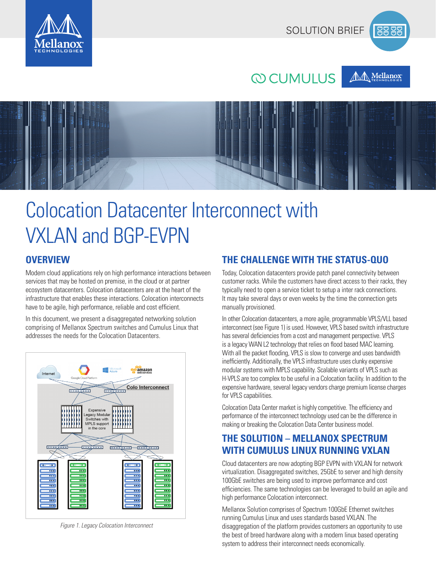



**10000** 





# Colocation Datacenter Interconnect with VXLAN and BGP-EVPN

## **OVERVIEW**

Modern cloud applications rely on high performance interactions between services that may be hosted on premise, in the cloud or at partner ecosystem datacenters. Colocation datacenters are at the heart of the infrastructure that enables these interactions. Colocation interconnects have to be agile, high performance, reliable and cost efficient.

In this document, we present a disaggregated networking solution comprising of Mellanox Spectrum switches and Cumulus Linux that addresses the needs for the Colocation Datacenters.



*Figure 1. Legacy Colocation Interconnect*

## **THE CHALLENGE WITH THE STATUS-QUO**

Today, Colocation datacenters provide patch panel connectivity between customer racks. While the customers have direct access to their racks, they typically need to open a service ticket to setup a inter rack connections. It may take several days or even weeks by the time the connection gets manually provisioned.

In other Colocation datacenters, a more agile, programmable VPLS/VLL based interconnect (see Figure 1) is used. However, VPLS based switch infrastructure has several deficiencies from a cost and management perspective. VPLS is a legacy WAN L2 technology that relies on flood based MAC learning. With all the packet flooding, VPLS is slow to converge and uses bandwidth inefficiently. Additionally, the VPLS infrastructure uses clunky expensive modular systems with MPLS capability. Scalable variants of VPLS such as H-VPLS are too complex to be useful in a Colocation facility. In addition to the expensive hardware, several legacy vendors charge premium license charges for VPLS capabilities.

Colocation Data Center market is highly competitive. The efficiency and performance of the interconnect technology used can be the difference in making or breaking the Colocation Data Center business model.

## **THE SOLUTION – MELLANOX SPECTRUM WITH CUMULUS LINUX RUNNING VXLAN**

Cloud datacenters are now adopting BGP EVPN with VXLAN for network virtualization. Disaggregated switches, 25GbE to server and high density 100GbE switches are being used to improve performance and cost efficiencies. The same technologies can be leveraged to build an agile and high performance Colocation interconnect.

Mellanox Solution comprises of Spectrum 100GbE Ethernet switches running Cumulus Linux and uses standards based VXLAN. The disaggregation of the platform provides customers an opportunity to use the best of breed hardware along with a modern linux based operating system to address their interconnect needs economically.